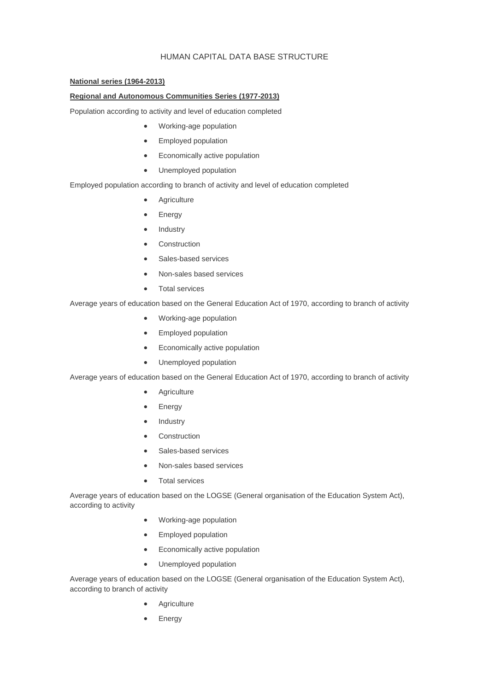## HUMAN CAPITAL DATA BASE STRUCTURE

### **[National series \(1964-2013\)](http://www.ivie.es/downloads/caphum/series-2013/series-nacionales.xls)**

#### **Regional and Autonomous Communities Series (1977-2013)**

Population according to activity and level of education completed

- [Working-age population](http://www.ivie.es/downloads/caphum/series-2013/pet-1977-2013.xls)
- [Employed population](http://www.ivie.es/downloads/caphum/series-2013/poc-1977-2013.xlsx)
- [Economically active population](http://www.ivie.es/downloads/caphum/series-2013/pac-1977-2013.xls)
- [Unemployed population](http://www.ivie.es/downloads/caphum/series-2013/par-1977-2013.xls)

#### Employed population according to branch of activity and level of education completed

- **[Agriculture](http://www.ivie.es/downloads/caphum/series-2013/agricultura-1977-2013.xlsx)**
- [Energy](http://www.ivie.es/downloads/caphum/series-2013/energia-1977-2013.xls)
- [Industry](http://www.ivie.es/downloads/caphum/series-2013/industria-1977-2013.xls)
- **[Construction](http://www.ivie.es/downloads/caphum/series-2013/construccion-1977-2013.xls)**
- [Sales-based services](http://www.ivie.es/downloads/caphum/series-2013/servicios-venta-1977-2013.xls)
- [Non-sales based services](http://www.ivie.es/downloads/caphum/series-2013/servicios-no-venta-1977-2013.xls)
- [Total services](http://www.ivie.es/downloads/caphum/series-2013/servicios-1977-2013.xls)

Average years of education based on the General Education Act of 1970, according to branch of activity

- [Working-age population](http://www.ivie.es/downloads/caphum/series-2013/ame-lge-pet-1977-2013.xls)
- **•** [Employed population](http://www.ivie.es/downloads/caphum/series-2013/ame-lge-poc-1977-2013.xls)
- [Economically active population](http://www.ivie.es/downloads/caphum/series-2013/ame-lge-pac-1977-2013.xls)
- [Unemployed population](http://www.ivie.es/downloads/caphum/series-2013/ame-lge-par-1977-2013.xls)

Average years of education based on the General Education Act of 1970, according to branch of activity

- **[Agriculture](http://www.ivie.es/downloads/caphum/series-2013/ame-lge-agricultura-1977-2013.xls)**
- [Energy](http://www.ivie.es/downloads/caphum/series-2013/ame-lge-energia-1977-2013.xls)
- [Industry](http://www.ivie.es/downloads/caphum/series-2013/ame-lge-industria-1977-2013.xls)
- **[Construction](http://www.ivie.es/downloads/caphum/series-2013/ame-lge-construccion-1977-2013.xls)**
- [Sales-based services](http://www.ivie.es/downloads/caphum/series-2013/ame-lge-servicios-venta-1977-2013.xls)
- [Non-sales based services](http://www.ivie.es/downloads/caphum/series-2013/ame-lge-servicios-no-venta-1977-2013.xls)
- [Total services](http://www.ivie.es/downloads/caphum/series-2013/ame-lge-servicios-1977-2013.xls)

Average years of education based on the LOGSE (General organisation of the Education System Act), according to activity

- [Working-age population](http://www.ivie.es/downloads/caphum/series-2013/ame-logse-pet-1977-2013.xls)
- [Employed population](http://www.ivie.es/downloads/caphum/series-2013/ame-logse-poc-1977-2013.xls)
- [Economically active population](http://www.ivie.es/downloads/caphum/series-2013/ame-logse-pac-1977-2013.xls)
- [Unemployed population](http://www.ivie.es/downloads/caphum/series-2013/ame-logse-par-1977-2013.xls)

Average years of education based on the LOGSE (General organisation of the Education System Act), according to branch of activity

- **[Agriculture](http://www.ivie.es/downloads/caphum/series-2013/ame-logse-agricultura-1977-2013.xls)**
- [Energy](http://www.ivie.es/downloads/caphum/series-2013/ame-logse-energia-1977-2013.xls)